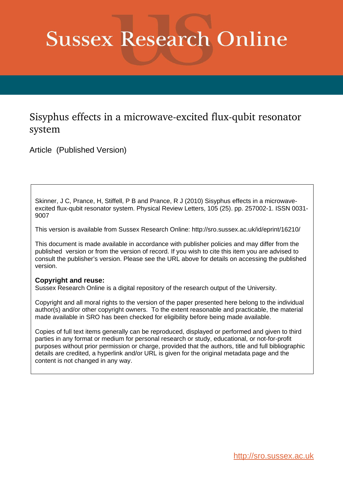## **Sussex Research Online**

## Sisyphus effects in a microwave-excited flux-qubit resonator system

Article (Published Version)

Skinner, J C, Prance, H, Stiffell, P B and Prance, R J (2010) Sisyphus effects in a microwaveexcited flux-qubit resonator system. Physical Review Letters, 105 (25). pp. 257002-1. ISSN 0031- 9007

This version is available from Sussex Research Online: http://sro.sussex.ac.uk/id/eprint/16210/

This document is made available in accordance with publisher policies and may differ from the published version or from the version of record. If you wish to cite this item you are advised to consult the publisher's version. Please see the URL above for details on accessing the published version.

## **Copyright and reuse:**

Sussex Research Online is a digital repository of the research output of the University.

Copyright and all moral rights to the version of the paper presented here belong to the individual author(s) and/or other copyright owners. To the extent reasonable and practicable, the material made available in SRO has been checked for eligibility before being made available.

Copies of full text items generally can be reproduced, displayed or performed and given to third parties in any format or medium for personal research or study, educational, or not-for-profit purposes without prior permission or charge, provided that the authors, title and full bibliographic details are credited, a hyperlink and/or URL is given for the original metadata page and the content is not changed in any way.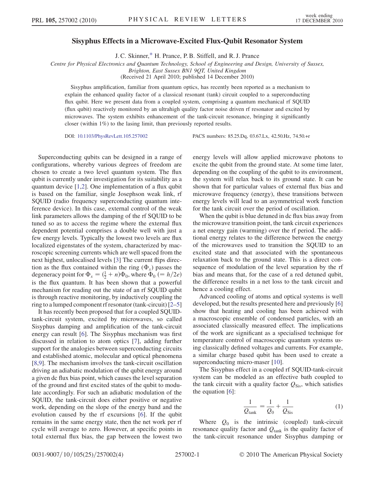## Sisyphus Effects in a Microwave-Excited Flux-Qubit Resonator System

J. C. Skinner[,\\*](#page-4-0) H. Prance, P. B. Stiffell, and R. J. Prance

<span id="page-1-1"></span>Centre for Physical Electronics and Quantum Technology, School of Engineering and Design, University of Sussex,

Brighton, East Sussex BN1 9QT, United Kingdom

(Received 21 April 2010; published 14 December 2010)

Sisyphus amplification, familiar from quantum optics, has recently been reported as a mechanism to explain the enhanced quality factor of a classical resonant (tank) circuit coupled to a superconducting flux qubit. Here we present data from a coupled system, comprising a quantum mechanical rf SQUID (flux qubit) reactively monitored by an ultrahigh quality factor noise driven rf resonator and excited by microwaves. The system exhibits enhancement of the tank-circuit resonance, bringing it significantly closer (within 1%) to the lasing limit, than previously reported results.

DOI: [10.1103/PhysRevLett.105.257002](http://dx.doi.org/10.1103/PhysRevLett.105.257002) PACS numbers: 85.25.Dq, 03.67.Lx, 42.50.Hz, 74.50.+r

Superconducting qubits can be designed in a range of configurations, whereby various degrees of freedom are chosen to create a two level quantum system. The flux qubit is currently under investigation for its suitability as a quantum device [\[1,](#page-4-1)[2](#page-4-2)]. One implementation of a flux qubit is based on the familiar, single Josephson weak link, rf SQUID (radio frequency superconducting quantum inteference device). In this case, external control of the weak link parameters allows the damping of the rf SQUID to be tuned so as to access the regime where the external flux dependent potential comprises a double well with just a few energy levels. Typically the lowest two levels are flux localized eigenstates of the system, characterized by macroscopic screening currents which are well spaced from the next highest, unlocalised levels [\[3](#page-4-3)] The current flips direction as the flux contained within the ring  $(\Phi_x)$  passes the degeneracy point for  $\Phi_x = (\frac{1}{2} + n)\Phi_0$ , where  $\Phi_0 = (h/2e)$ is the flux quantum. It has been shown that a powerful mechanism for reading out the state of an rf SQUID qubit is through reactive monitoring, by inductively coupling the ring to a lumped component rf resonator (tank-circuit) [[2](#page-4-2)[–5\]](#page-4-4)

It has recently been proposed that for a coupled SQUIDtank-circuit system, excited by microwaves, so called Sisyphus damping and amplification of the tank-circuit energy can result [[6](#page-4-5)]. The Sisyphus mechanism was first discussed in relation to atom optics [[7](#page-4-6)], adding further support for the analogies between superconducting circuits and established atomic, molecular and optical phenomena [\[8,](#page-4-7)[9](#page-4-8)]. The mechanism involves the tank-circuit oscillation driving an adiabatic modulation of the qubit energy around a given dc flux bias point, which causes the level separation of the ground and first excited states of the qubit to modulate accordingly. For such an adiabatic modulation of the SQUID, the tank-circuit does either positive or negative work, depending on the slope of the energy band and the evolution caused by the rf excursions [[6](#page-4-5)]. If the qubit remains in the same energy state, then the net work per rf cycle will average to zero. However, at specific points in total external flux bias, the gap between the lowest two energy levels will allow applied microwave photons to excite the qubit from the ground state. At some time later, depending on the coupling of the qubit to its environment, the system will relax back to its ground state. It can be shown that for particular values of external flux bias and microwave frequency (energy), these transitions between energy levels will lead to an asymmetrical work function for the tank circuit over the period of oscillation.

When the qubit is blue detuned in dc flux bias away from the microwave transition point, the tank circuit experiences a net energy gain (warming) over the rf period. The additional energy relates to the difference between the energy of the microwaves used to transition the SQUID to an excited state and that associated with the spontaneous relaxation back to the ground state. This is a direct consequence of modulation of the level separation by the rf bias and means that, for the case of a red detuned qubit, the difference results in a net loss to the tank circuit and hence a cooling effect.

Advanced cooling of atoms and optical systems is well developed, but the results presented here and previously [\[6\]](#page-4-5) show that heating and cooling has been achieved with a macroscopic ensemble of condensed particles, with an associated classically measured effect. The implications of the work are significant as a specialised technique for temperature control of macroscopic quantum systems using classically defined voltages and currents. For example, a similar charge based qubit has been used to create a superconducting micro-maser [[10](#page-4-9)].

<span id="page-1-0"></span>The Sisyphus effect in a coupled rf SQUID-tank-circuit system can be modeled as an effective bath coupled to the tank circuit with a quality factor  $Q_{\text{Sis}}$ , which satisfies the equation [\[6\]](#page-4-5):

$$
\frac{1}{Q_{\text{tank}}} = \frac{1}{Q_0} + \frac{1}{Q_{\text{Sis}}} \tag{1}
$$

Where  $Q_0$  is the intrinsic (coupled) tank-circuit resonance quality factor and  $Q<sub>tank</sub>$  is the quality factor of the tank-circuit resonance under Sisyphus damping or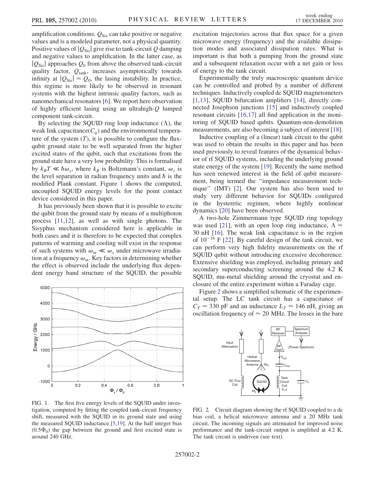amplification conditions.  $Q_{\text{Sis}}$  can take positive or negative values and is a modeled parameter, not a physical quantity. Positive values of  $|Q_{\text{Sis}}|$  give rise to tank-circuit Q damping and negative values to amplification. In the latter case, as  $|Q_{\text{Sis}}|$  approaches  $Q_0$  from above the observed tank-circuit quality factor,  $Q<sub>tank</sub>$ , increases asymptotically towards infinity at  $|Q_{\text{Sis}}| = Q_0$ , the lasing instability. In practice, this regime is more likely to be observed in resonant systems with the highest intrinsic quality factors, such as nanomechanical resonators [\[6](#page-4-5)]. We report here observation of highly efficient lasing using an ultrahigh-Q lumped component tank-circuit.

By selecting the SQUID ring loop inductance  $(\Lambda)$ , the weak link capacitance( $C_q$ ) and the environmental temperature of the system  $(T)$ , it is possible to configure the fluxqubit ground state to be well separated from the higher excited states of the qubit, such that excitations from the ground state have a very low probability. This is formalised by  $k_B T \ll \hbar \omega_s$ , where  $k_B$  is Boltzmann's constant,  $\omega_s$  is the level separation in radian frequency units and  $\hbar$  is the modified Plank constant. Figure [1](#page-2-0) shows the computed, uncoupled SQUID energy levels for the point contact device considered in this paper.

It has previously been shown that it is possible to excite the qubit from the ground state by means of a multiphoton process [[11](#page-4-10)[,12\]](#page-4-11), as well as with single photons. The Sisyphus mechanism considered here is applicable in both cases and it is therefore to be expected that complex patterns of warming and cooling will exist in the response of such systems with  $\omega_m \ll \omega_s$  under microwave irradiation at a frequency  $\omega_m$ . Key factors in determining whether the effect is observed include the underlying flux dependent energy band structure of the SQUID, the possible

<span id="page-2-0"></span>

excitation trajectories across that flux space for a given microwave energy (frequency) and the available dissipation modes and associated dissipation rates. What is important is that both a pumping from the ground state and a subsequent relaxation occur with a net gain or loss of energy to the tank circuit.

Experimentally the truly macroscopic quantum device can be controlled and probed by a number of different techniques. Inductively coupled dc SQUID magnetometers [\[1,](#page-4-1)[13\]](#page-4-12), SQUID bifurcation amplifiers [[14](#page-4-13)], directly connected Josephson junctions [\[15](#page-4-14)] and inductively coupled resonant circuits [[16](#page-4-15)[,17\]](#page-4-16) all find application in the monitoring of SQUID based qubits. Quantum-non-demolition measurements, are also becoming a subject of interest [[18\]](#page-4-17).

Inductive coupling of a (linear) tank circuit to the qubit was used to obtain the results in this paper and has been used previously to reveal features of the dynamical behavior of rf SQUID systems, including the underlying ground state energy of the system [[19](#page-4-18)]. Recently the same method has seen renewed interest in the field of qubit measurement, being termed the ''impedance measurement technique'' (IMT) [[2\]](#page-4-2). Our system has also been used to study very different behavior for SQUIDs configured in the hysteretic regimen, where highly nonlinear dynamics [[20](#page-4-19)] have been observed.

A two-hole Zimmermann type SQUID ring topology was used [\[21\]](#page-4-20), with an open loop ring inductance,  $\Lambda \approx$ 30 nH [[16\]](#page-4-15). The weak link capacitance is in the region of  $10^{-16}$  F [\[22\]](#page-4-21). By careful design of the tank circuit, we can perform very high fidelity measurements on the rf SQUID qubit without introducing excessive decoherence. Extensive shielding was employed, including primary and secondary superconducting screening around the 4.2 K SQUID, mu-metal shielding around the cryostat and enclosure of the entire experiment within a Faraday cage.

Figure [2](#page-2-1) shows a simplified schematic of the experimental setup. The LC tank circuit has a capacitance of  $C_T = 330$  pF and an inductance  $L_T \approx 146$  nH, giving an oscillation frequency of  $\approx 20$  MHz. The losses in the bare

<span id="page-2-1"></span>

FIG. 1. The first five energy levels of the SQUID under investigation, computed by fitting the coupled tank-circuit frequency shift, measured with the SQUID in its ground state and using the measured SQUID inductance [[5,](#page-4-4)[19\]](#page-4-18). At the half integer bias  $(0.5\Phi_0)$  the gap between the ground and first excited state is around 240 GHz.

FIG. 2. Circuit diagram showing the rf SQUID coupled to a dc bias coil, a helical microwave antenna and a 20 MHz tank circuit. The incoming signals are attenuated for improved noise performance and the tank-circuit output is amplified at 4.2 K. The tank circuit is undriven (see text).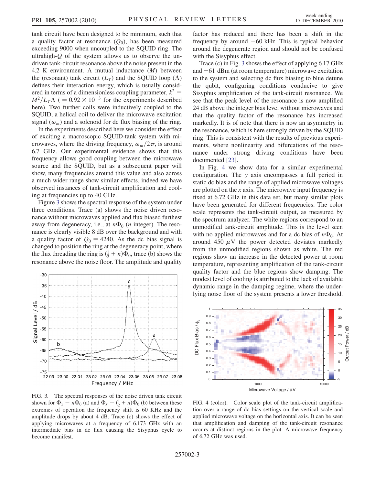tank circuit have been designed to be minimum, such that a quality factor at resonance  $(Q_0)$ , has been measured exceeding 9000 when uncoupled to the SQUID ring. The ultrahigh- $Q$  of the system allows us to observe the undriven tank-circuit resonance above the noise present in the 4.2 K environment. A mutual inductance (M) between the (resonant) tank circuit  $(L_T)$  and the SQUID loop  $(\Lambda)$ defines their interaction energy, which is usually considered in terms of a dimensionless coupling parameter,  $k^2 =$  $M^2/L_T\Lambda$  ( = 0.92 × 10<sup>-3</sup> for the experiments described here). Two further coils were inductively coupled to the SQUID, a helical coil to deliver the microwave excitation signal ( $\omega_m$ ) and a solenoid for dc flux biasing of the ring.

In the experiments described here we consider the effect of exciting a macroscopic SQUID-tank system with microwaves, where the driving frequency,  $\omega_m/2\pi$ , is around 6.7 GHz. Our experimental evidence shows that this frequency allows good coupling between the microwave source and the SQUID, but as a subsequent paper will show, many frequencies around this value and also across a much wider range show similar effects, indeed we have observed instances of tank-circuit amplification and cooling at frequencies up to 40 GHz.

Figure [3](#page-3-0) shows the spectral response of the system under three conditions. Trace (a) shows the noise driven resonance without microwaves applied and flux biased furthest away from degeneracy, i.e., at  $n\Phi_0$  (*n* integer). The resonance is clearly visible 8 dB over the background and with a quality factor of  $Q_0 = 4240$ . As the dc bias signal is changed to position the ring at the degeneracy point, where the flux threading the ring is  $(\frac{1}{2} + n)\Phi_0$ , trace (b) shows the resonance above the noise floor. The amplitude and quality

<span id="page-3-0"></span>

FIG. 3. The spectral responses of the noise driven tank circuit shown for  $\Phi_x = n\Phi_0$  (a) and  $\Phi_x = (\frac{1}{2} + n)\Phi_0$  (b) between these extremes of operation the frequency shift is 60 KHz and the amplitude drops by about 4 dB. Trace (c) shows the effect of applying microwaves at a frequency of 6.173 GHz with an intermediate bias in dc flux causing the Sisyphus cycle to become manifest.

factor has reduced and there has been a shift in the frequency by around  $-60$  kHz. This is typical behavior around the degenerate region and should not be confused with the Sisyphus effect.

Trace (c) in Fig. [3](#page-3-0) shows the effect of applying 6.17 GHz and  $-61$  dBm (at room temperature) microwave excitation to the system and selecting dc flux biasing to blue detune the qubit, configuring conditions conducive to give Sisyphus amplification of the tank-circuit resonance. We see that the peak level of the resonance is now amplified 24 dB above the integer bias level without microwaves and that the quality factor of the resonance has increased markedly. It is of note that there is now an asymmetry in the resonance, which is here strongly driven by the SQUID ring. This is consistent with the results of previous experiments, where nonlinearity and bifurcations of the resonance under strong driving conditions have been documented [[23](#page-4-22)].

In Fig. [4](#page-3-1) we show data for a similar experimental configuration. The y axis encompasses a full period in static dc bias and the range of applied microwave voltages are plotted on the x axis. The microwave input frequency is fixed at 6.72 GHz in this data set, but many similar plots have been generated for different frequencies. The color scale represents the tank-circuit output, as measured by the spectrum analyzer. The white regions correspond to an unmodified tank-circuit amplitude. This is the level seen with no applied microwaves and for a dc bias of  $n\Phi_0$ . At around 450  $\mu$ V the power detected deviates markedly from the unmodified regions shown as white. The red regions show an increase in the detected power at room temperature, representing amplification of the tank-circuit quality factor and the blue regions show damping. The modest level of cooling is attributed to the lack of available dynamic range in the damping regime, where the underlying noise floor of the system presents a lower threshold.

<span id="page-3-1"></span>

FIG. 4 (color). Color scale plot of the tank-circuit amplification over a range of dc bias settings on the vertical scale and applied microwave voltage on the horizontal axis. It can be seen that amplification and damping of the tank-circuit resonance occurs at distinct regions in the plot. A microwave frequency of 6.72 GHz was used.